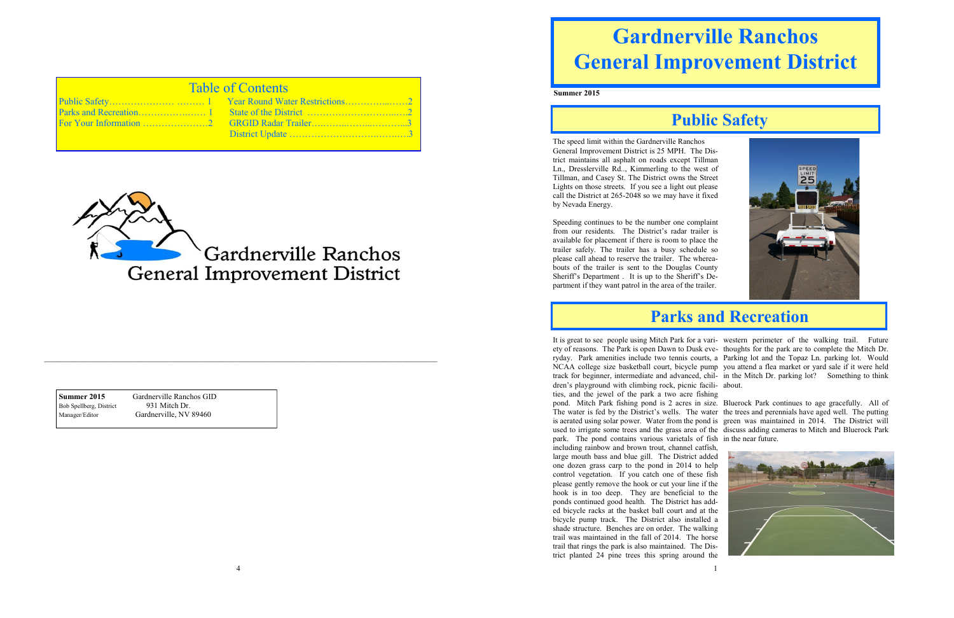**Summer 2015 Gardnerville Ranchos GID** Bob Spellberg, District 931 Mitch Dr.

Manager/Editor Gardnerville, NV 89460

| <b>Table of Contents</b> |  |
|--------------------------|--|
|                          |  |
|                          |  |
|                          |  |
|                          |  |



 $\_$  , and the set of the set of the set of the set of the set of the set of the set of the set of the set of the set of the set of the set of the set of the set of the set of the set of the set of the set of the set of th

# **Gardnerville Ranchos General Improvement District**

## **Public Safety**





The speed limit within the Gardnerville Ranchos General Improvement District is 25 MPH. The District maintains all asphalt on roads except Tillman Ln., Dresslerville Rd.., Kimmerling to the west of Tillman, and Casey St. The District owns the Street Lights on those streets. If you see a light out please call the District at 265-2048 so we may have it fixed by Nevada Energy.

Speeding continues to be the number one complaint from our residents. The District's radar trailer is available for placement if there is room to place the trailer safely. The trailer has a busy schedule so please call ahead to reserve the trailer. The whereabouts of the trailer is sent to the Douglas County Sheriff's Department . It is up to the Sheriff's Department if they want patrol in the area of the trailer.

### **Parks and Recreation**

It is great to see people using Mitch Park for a vari-western perimeter of the walking trail. Future ety of reasons. The Park is open Dawn to Dusk eve-thoughts for the park are to complete the Mitch Dr. ryday. Park amenities include two tennis courts, a Parking lot and the Topaz Ln. parking lot. Would NCAA college size basketball court, bicycle pump you attend a flea market or yard sale if it were held track for beginner, intermediate and advanced, chil-in the Mitch Dr. parking lot? Something to think dren's playground with climbing rock, picnic facili-about. ties, and the jewel of the park a two acre fishing pond. Mitch Park fishing pond is 2 acres in size. Bluerock Park continues to age gracefully. All of The water is fed by the District's wells. The water the trees and perennials have aged well. The putting is aerated using solar power. Water from the pond is green was maintained in 2014. The District will used to irrigate some trees and the grass area of the discuss adding cameras to Mitch and Bluerock Park park. The pond contains various varietals of fish in the near future. including rainbow and brown trout, channel catfish, large mouth bass and blue gill. The District added one dozen grass carp to the pond in 2014 to help control vegetation. If you catch one of these fish please gently remove the hook or cut your line if the hook is in too deep. They are beneficial to the ponds continued good health. The District has added bicycle racks at the basket ball court and at the bicycle pump track. The District also installed a shade structure. Benches are on order. The walking trail was maintained in the fall of 2014. The horse trail that rings the park is also maintained. The District planted 24 pine trees this spring around the

**Summer 2015**